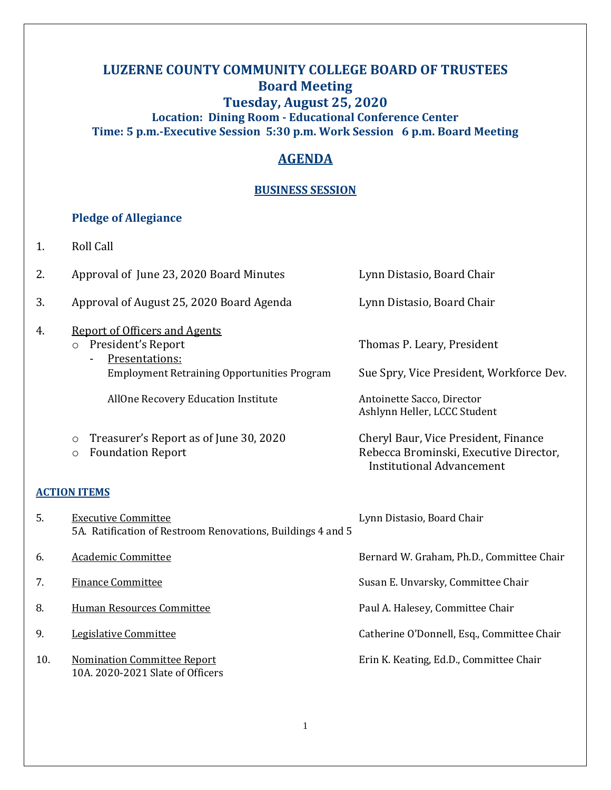# **LUZERNE COUNTY COMMUNITY COLLEGE BOARD OF TRUSTEES Board Meeting Tuesday, August 25, 2020 Location: Dining Room - Educational Conference Center Time: 5 p.m.-Executive Session 5:30 p.m. Work Session 6 p.m. Board Meeting**

# **AGENDA**

## **BUSINESS SESSION**

# **Pledge of Allegiance**

| 1.                  | <b>Roll Call</b>                                                                                                                              |                                                                                                                    |
|---------------------|-----------------------------------------------------------------------------------------------------------------------------------------------|--------------------------------------------------------------------------------------------------------------------|
| 2.                  | Approval of June 23, 2020 Board Minutes                                                                                                       | Lynn Distasio, Board Chair                                                                                         |
| 3.                  | Approval of August 25, 2020 Board Agenda                                                                                                      | Lynn Distasio, Board Chair                                                                                         |
| 4.                  | <b>Report of Officers and Agents</b><br>President's Report<br>$\circ$<br>Presentations:<br><b>Employment Retraining Opportunities Program</b> | Thomas P. Leary, President<br>Sue Spry, Vice President, Workforce Dev.                                             |
|                     | AllOne Recovery Education Institute                                                                                                           | Antoinette Sacco, Director<br>Ashlynn Heller, LCCC Student                                                         |
|                     | Treasurer's Report as of June 30, 2020<br>$\circ$<br><b>Foundation Report</b><br>$\circ$                                                      | Cheryl Baur, Vice President, Finance<br>Rebecca Brominski, Executive Director,<br><b>Institutional Advancement</b> |
| <b>ACTION ITEMS</b> |                                                                                                                                               |                                                                                                                    |
| 5.                  | <b>Executive Committee</b><br>5A. Ratification of Restroom Renovations, Buildings 4 and 5                                                     | Lynn Distasio, Board Chair                                                                                         |
| 6.                  | <b>Academic Committee</b>                                                                                                                     | Bernard W. Graham, Ph.D., Committee Chair                                                                          |
| 7.                  | <b>Finance Committee</b>                                                                                                                      | Susan E. Unvarsky, Committee Chair                                                                                 |
| 8.                  | <b>Human Resources Committee</b>                                                                                                              | Paul A. Halesey, Committee Chair                                                                                   |
| 9.                  | Legislative Committee                                                                                                                         | Catherine O'Donnell, Esq., Committee Chair                                                                         |
| 10.                 | <b>Nomination Committee Report</b><br>10A. 2020-2021 Slate of Officers                                                                        | Erin K. Keating, Ed.D., Committee Chair                                                                            |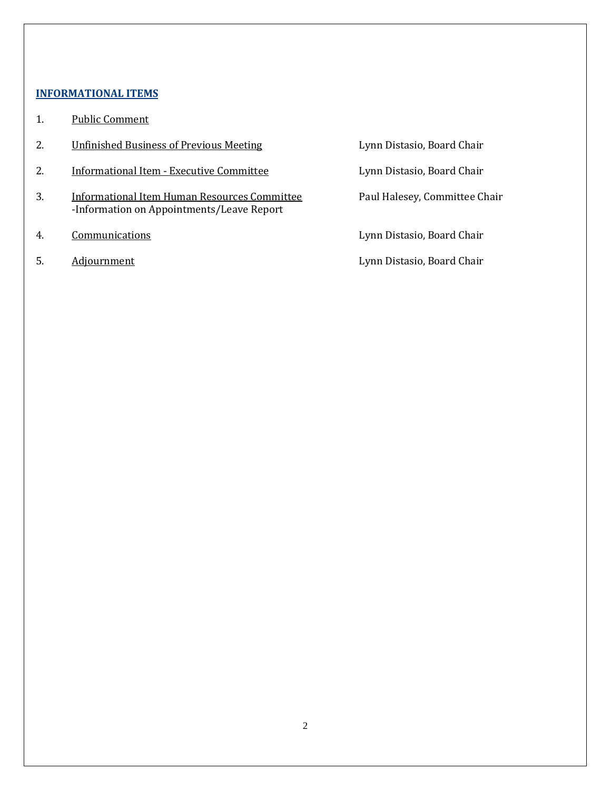### **INFORMATIONAL ITEMS**

- 1. Public Comment
- 2. **Unfinished Business of Previous Meeting Fig. 2. Example 2. Example 2. All Uynn Distasio, Board Chair**
- 2. Informational Item Executive Committee Lynn Distasio, Board Chair
- 3. Informational Item Human Resources Committee Paul Halesey, Committee Chair -Information on Appointments/Leave Report
- 
- 

4. Communications Lynn Distasio, Board Chair

5. Adjournment Adjournment Adjournment Lynn Distasio, Board Chair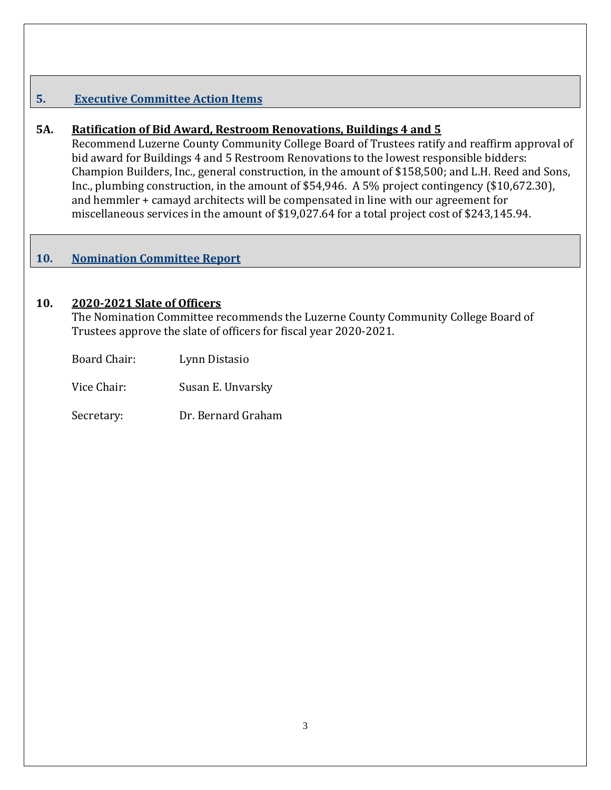# **5. Executive Committee Action Items**

## **5A. Ratification of Bid Award, Restroom Renovations, Buildings 4 and 5**

Recommend Luzerne County Community College Board of Trustees ratify and reaffirm approval of bid award for Buildings 4 and 5 Restroom Renovations to the lowest responsible bidders: Champion Builders, Inc., general construction, in the amount of \$158,500; and L.H. Reed and Sons, Inc., plumbing construction, in the amount of \$54,946. A 5% project contingency (\$10,672.30), and hemmler + camayd architects will be compensated in line with our agreement for miscellaneous services in the amount of \$19,027.64 for a total project cost of \$243,145.94.

## **10. Nomination Committee Report**

### **10. 2020-2021 Slate of Officers**

The Nomination Committee recommends the Luzerne County Community College Board of Trustees approve the slate of officers for fiscal year 2020-2021.

Board Chair: Lynn Distasio

Vice Chair: Susan E. Unvarsky

Secretary: Dr. Bernard Graham